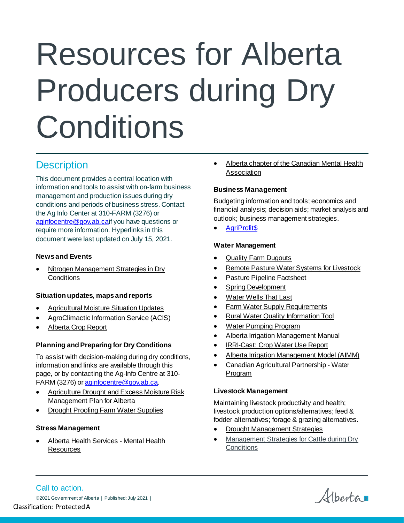# Resources for Alberta Producers during Dry **Conditions**

# **Description**

This document provides a central location with information and tools to assist with on-farm business management and production issues during dry conditions and periods of business stress. Contact the Ag Info Center at 310-FARM (3276) or [aginfocentre@gov.ab.cai](mailto:aginfocentre@gov.ab.ca)f you have questions or require more information. Hyperlinks in this document were last updated on July 15, 2021.

# **News and Events**

• [Nitrogen Management Strategies in Dry](https://www.alberta.ca/nitrogen-management-in-dry-conditions.aspx)  **[Conditions](https://www.alberta.ca/nitrogen-management-in-dry-conditions.aspx)** 

#### **Situation updates, maps and reports**

- [Agricultural Moisture Situation Updates](https://open.alberta.ca/publications/moisture-situation-update)
- [AgroClimactic Information Service \(ACIS\)](http://agriculture.alberta.ca/acis/)
- [Alberta Crop Report](https://www.alberta.ca/alberta-crop-reports.aspx)

# **Planning and Preparing for Dry Conditions**

To assist with decision-making during dry conditions, information and links are available through this page, or by contacting the Ag-Info Centre at 310 FARM (3276) o[r aginfocentre@gov.ab.ca](mailto:aginfocentre@gov.ab.ca).

- [Agriculture Drought and Excess Moisture Risk](https://open.alberta.ca/publications/alberta-s-agriculture-drought-and-excess-moisture-risk-management-plan)  [Management Plan for Alberta](https://open.alberta.ca/publications/alberta-s-agriculture-drought-and-excess-moisture-risk-management-plan)
- **[Drought Proofing Farm Water Supplies](https://open.alberta.ca/publications/4252750)**

# **Stress Management**

• [Alberta Health Services -](https://www.albertahealthservices.ca/amh/amh.aspx) Mental Health **[Resources](https://www.albertahealthservices.ca/amh/amh.aspx)** 

• Alberta chapter of the Canadian Mental Health [Association](https://www.mymentalhealth.ca/)

#### **Business Management**

Budgeting information and tools; economics and financial analysis; decision aids; market analysis and outlook; business management strategies.

• [AgriProfit\\$](https://www.alberta.ca/agriprofits.aspx)

#### **Water Management**

- **[Quality Farm Dugouts](https://open.alberta.ca/publications/9781460123508)**
- [Remote Pasture Water Systems](https://open.alberta.ca/dataset/4043288) for Livestock
- [Pasture Pipeline Factsheet](https://open.alberta.ca/dataset/2439249)
- [Spring Development](https://open.alberta.ca/dataset/2620334)
- [Water Wells That Last](https://open.alberta.ca/publications/716-a10)
- **[Farm Water Supply Requirements](https://open.alberta.ca/publications/4417630)**
- [Rural Water Quality Information Tool](http://www.agric.gov.ab.ca/app84/rwqit)
- [Water Pumping Program](https://www.alberta.ca/water-pumping-program.aspx)
- [Alberta Irrigation Management Manual](https://www.alberta.ca/irrigation.aspx)
- **[IRRI-Cast: Crop Water Use Report](https://agriculture.alberta.ca/acis/imcin/irricast.jsp)**
- [Alberta Irrigation Management Model \(AIMM\)](https://agriculture.alberta.ca/acis/imcin/aimm.jsp)
- [Canadian Agricultural Partnership -](https://cap.alberta.ca/CAP/program/FARM_WATER) Water [Program](https://cap.alberta.ca/CAP/program/FARM_WATER)

#### **Livestock Management**

Maintaining livestock productivity and health; livestock production options/alternatives; feed & fodder alternatives; forage & grazing alternatives.

- [Drought Management Strategies](http://www.beefresearch.ca/research-topic.cfm/drought-management-strategies-96)
- [Management Strategies for Cattle during Dry](https://open.alberta.ca/publications/4429907)  **[Conditions](https://open.alberta.ca/publications/4429907)**

Call to action. ©2021 Gov ernment of Alberta | Published: July 2021 | Classification: Protected A

Albertan